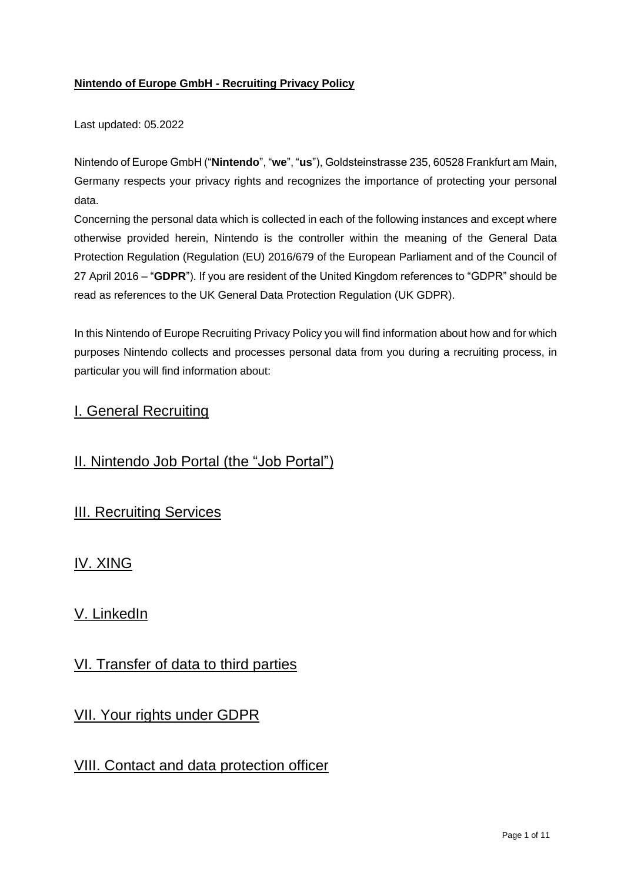## **Nintendo of Europe GmbH - Recruiting Privacy Policy**

Last updated: 05.2022

Nintendo of Europe GmbH ("**Nintendo**", "**we**", "**us**"), Goldsteinstrasse 235, 60528 Frankfurt am Main, Germany respects your privacy rights and recognizes the importance of protecting your personal data.

Concerning the personal data which is collected in each of the following instances and except where otherwise provided herein, Nintendo is the controller within the meaning of the General Data Protection Regulation (Regulation (EU) 2016/679 of the European Parliament and of the Council of 27 April 2016 – "**GDPR**"). If you are resident of the United Kingdom references to "GDPR" should be read as references to the UK General Data Protection Regulation (UK GDPR).

In this Nintendo of Europe Recruiting Privacy Policy you will find information about how and for which purposes Nintendo collects and processes personal data from you during a recruiting process, in particular you will find information about:

# I. General Recruiting

# II. Nintendo Job Portal (the "Job Portal")

# III. Recruiting Services

IV. XING

# V. LinkedIn

# VI. Transfer of data to third parties

# VII. Your rights under GDPR

# VIII. Contact and data protection officer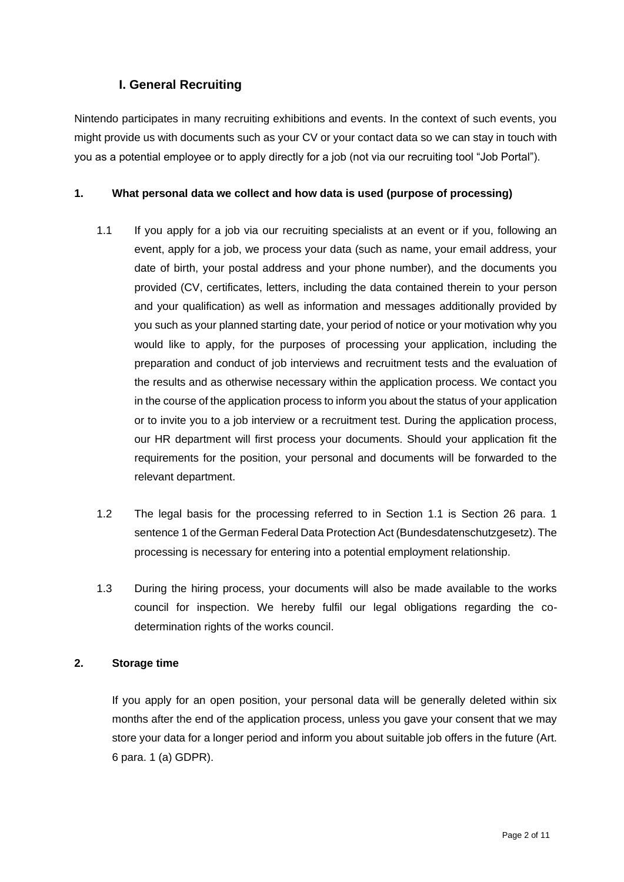# **I. General Recruiting**

Nintendo participates in many recruiting exhibitions and events. In the context of such events, you might provide us with documents such as your CV or your contact data so we can stay in touch with you as a potential employee or to apply directly for a job (not via our recruiting tool "Job Portal").

### **1. What personal data we collect and how data is used (purpose of processing)**

- 1.1 If you apply for a job via our recruiting specialists at an event or if you, following an event, apply for a job, we process your data (such as name, your email address, your date of birth, your postal address and your phone number), and the documents you provided (CV, certificates, letters, including the data contained therein to your person and your qualification) as well as information and messages additionally provided by you such as your planned starting date, your period of notice or your motivation why you would like to apply, for the purposes of processing your application, including the preparation and conduct of job interviews and recruitment tests and the evaluation of the results and as otherwise necessary within the application process. We contact you in the course of the application process to inform you about the status of your application or to invite you to a job interview or a recruitment test. During the application process, our HR department will first process your documents. Should your application fit the requirements for the position, your personal and documents will be forwarded to the relevant department.
- 1.2 The legal basis for the processing referred to in Section 1.1 is Section 26 para. 1 sentence 1 of the German Federal Data Protection Act (Bundesdatenschutzgesetz). The processing is necessary for entering into a potential employment relationship.
- 1.3 During the hiring process, your documents will also be made available to the works council for inspection. We hereby fulfil our legal obligations regarding the codetermination rights of the works council.

### **2. Storage time**

If you apply for an open position, your personal data will be generally deleted within six months after the end of the application process, unless you gave your consent that we may store your data for a longer period and inform you about suitable job offers in the future (Art. 6 para. 1 (a) GDPR).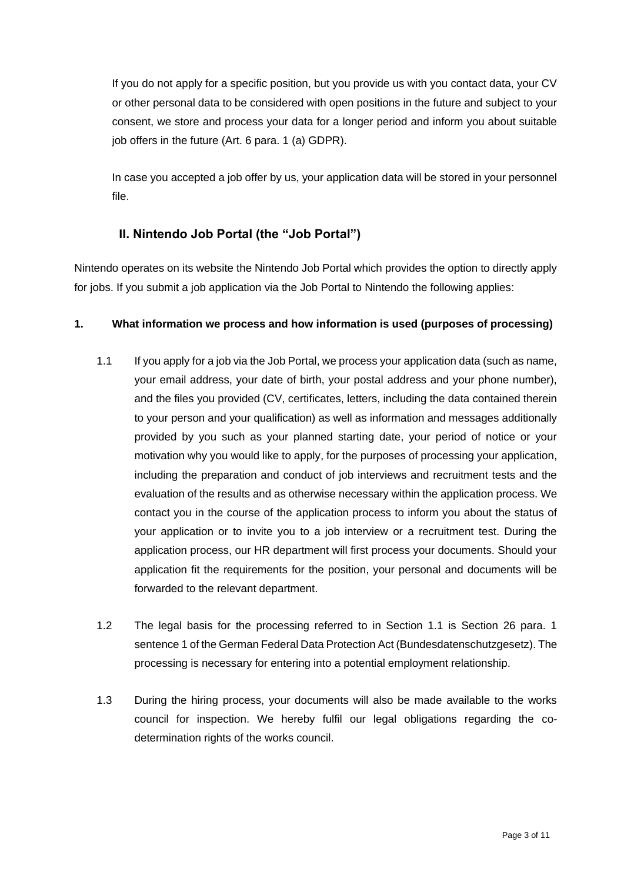If you do not apply for a specific position, but you provide us with you contact data, your CV or other personal data to be considered with open positions in the future and subject to your consent, we store and process your data for a longer period and inform you about suitable job offers in the future (Art. 6 para. 1 (a) GDPR).

In case you accepted a job offer by us, your application data will be stored in your personnel file.

# **II. Nintendo Job Portal (the "Job Portal")**

Nintendo operates on its website the Nintendo Job Portal which provides the option to directly apply for jobs. If you submit a job application via the Job Portal to Nintendo the following applies:

### **1. What information we process and how information is used (purposes of processing)**

- 1.1 If you apply for a job via the Job Portal, we process your application data (such as name, your email address, your date of birth, your postal address and your phone number), and the files you provided (CV, certificates, letters, including the data contained therein to your person and your qualification) as well as information and messages additionally provided by you such as your planned starting date, your period of notice or your motivation why you would like to apply, for the purposes of processing your application, including the preparation and conduct of job interviews and recruitment tests and the evaluation of the results and as otherwise necessary within the application process. We contact you in the course of the application process to inform you about the status of your application or to invite you to a job interview or a recruitment test. During the application process, our HR department will first process your documents. Should your application fit the requirements for the position, your personal and documents will be forwarded to the relevant department.
- 1.2 The legal basis for the processing referred to in Section 1.1 is Section 26 para. 1 sentence 1 of the German Federal Data Protection Act (Bundesdatenschutzgesetz). The processing is necessary for entering into a potential employment relationship.
- 1.3 During the hiring process, your documents will also be made available to the works council for inspection. We hereby fulfil our legal obligations regarding the codetermination rights of the works council.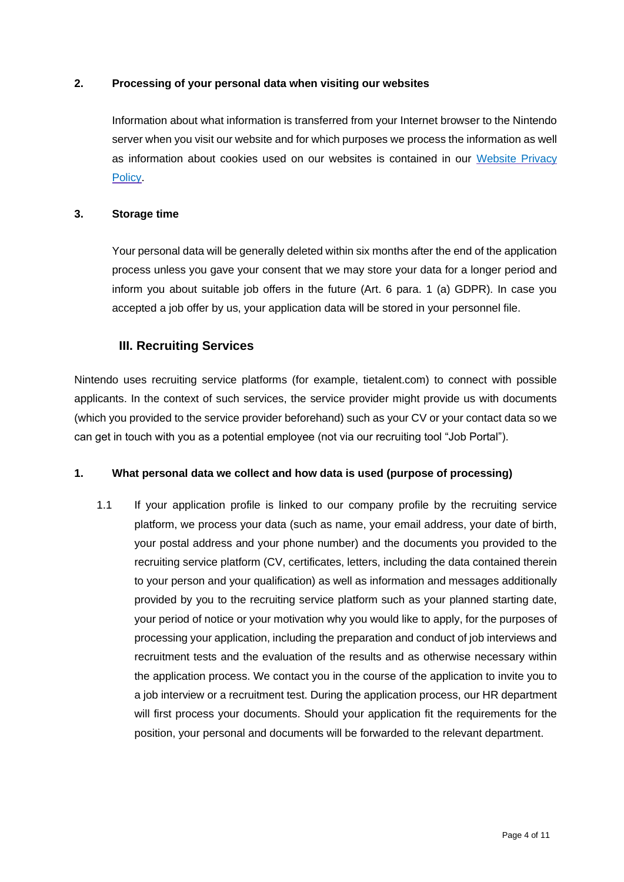### **2. Processing of your personal data when visiting our websites**

Information about what information is transferred from your Internet browser to the Nintendo server when you visit our website and for which purposes we process the information as well as information about cookies used on our websites is contained in our [Website Privacy](https://www.nintendo.co.uk/Legal/Website-Privacy-Policy/Website-Privacy-Policy-637785.html)  [Policy.](https://www.nintendo.co.uk/Legal/Website-Privacy-Policy/Website-Privacy-Policy-637785.html)

#### **3. Storage time**

Your personal data will be generally deleted within six months after the end of the application process unless you gave your consent that we may store your data for a longer period and inform you about suitable job offers in the future (Art. 6 para. 1 (a) GDPR). In case you accepted a job offer by us, your application data will be stored in your personnel file.

### **III. Recruiting Services**

Nintendo uses recruiting service platforms (for example, tietalent.com) to connect with possible applicants. In the context of such services, the service provider might provide us with documents (which you provided to the service provider beforehand) such as your CV or your contact data so we can get in touch with you as a potential employee (not via our recruiting tool "Job Portal").

#### **1. What personal data we collect and how data is used (purpose of processing)**

1.1 If your application profile is linked to our company profile by the recruiting service platform, we process your data (such as name, your email address, your date of birth, your postal address and your phone number) and the documents you provided to the recruiting service platform (CV, certificates, letters, including the data contained therein to your person and your qualification) as well as information and messages additionally provided by you to the recruiting service platform such as your planned starting date, your period of notice or your motivation why you would like to apply, for the purposes of processing your application, including the preparation and conduct of job interviews and recruitment tests and the evaluation of the results and as otherwise necessary within the application process. We contact you in the course of the application to invite you to a job interview or a recruitment test. During the application process, our HR department will first process your documents. Should your application fit the requirements for the position, your personal and documents will be forwarded to the relevant department.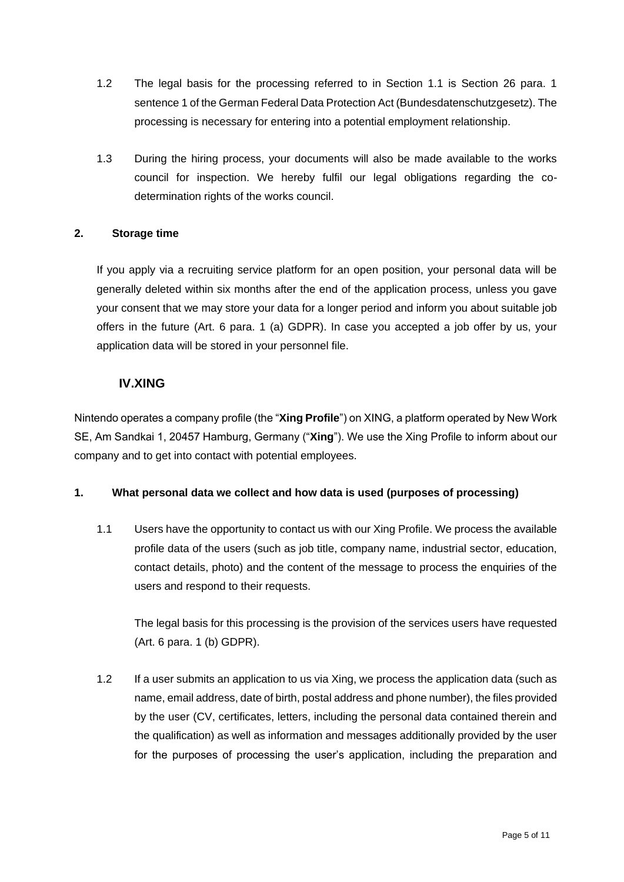- 1.2 The legal basis for the processing referred to in Section 1.1 is Section 26 para. 1 sentence 1 of the German Federal Data Protection Act (Bundesdatenschutzgesetz). The processing is necessary for entering into a potential employment relationship.
- 1.3 During the hiring process, your documents will also be made available to the works council for inspection. We hereby fulfil our legal obligations regarding the codetermination rights of the works council.

### **2. Storage time**

If you apply via a recruiting service platform for an open position, your personal data will be generally deleted within six months after the end of the application process, unless you gave your consent that we may store your data for a longer period and inform you about suitable job offers in the future (Art. 6 para. 1 (a) GDPR). In case you accepted a job offer by us, your application data will be stored in your personnel file.

## **IV.XING**

Nintendo operates a company profile (the "**Xing Profile**") on XING, a platform operated by New Work SE, Am Sandkai 1, 20457 Hamburg, Germany ("**Xing**"). We use the Xing Profile to inform about our company and to get into contact with potential employees.

### **1. What personal data we collect and how data is used (purposes of processing)**

1.1 Users have the opportunity to contact us with our Xing Profile. We process the available profile data of the users (such as job title, company name, industrial sector, education, contact details, photo) and the content of the message to process the enquiries of the users and respond to their requests.

The legal basis for this processing is the provision of the services users have requested (Art. 6 para. 1 (b) GDPR).

1.2 If a user submits an application to us via Xing, we process the application data (such as name, email address, date of birth, postal address and phone number), the files provided by the user (CV, certificates, letters, including the personal data contained therein and the qualification) as well as information and messages additionally provided by the user for the purposes of processing the user's application, including the preparation and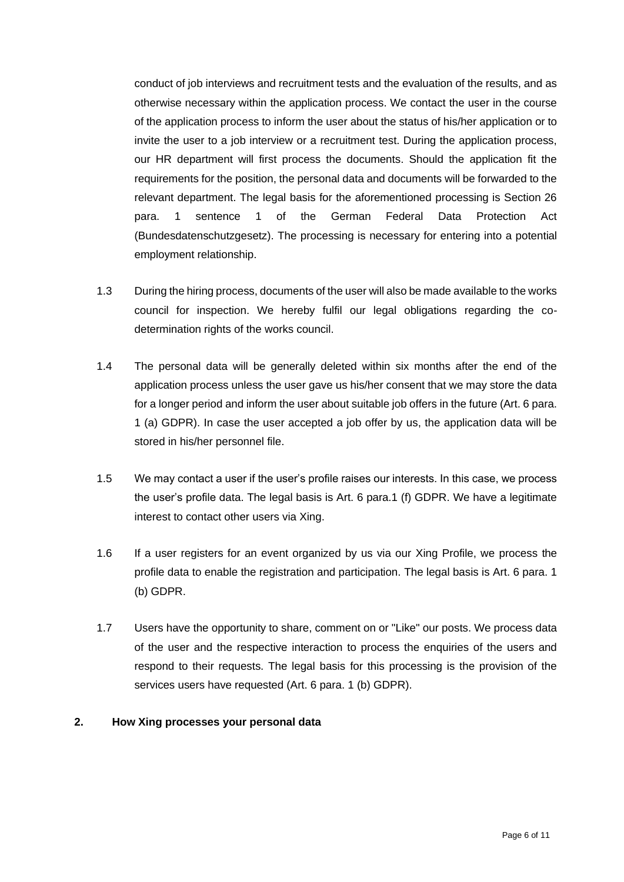conduct of job interviews and recruitment tests and the evaluation of the results, and as otherwise necessary within the application process. We contact the user in the course of the application process to inform the user about the status of his/her application or to invite the user to a job interview or a recruitment test. During the application process, our HR department will first process the documents. Should the application fit the requirements for the position, the personal data and documents will be forwarded to the relevant department. The legal basis for the aforementioned processing is Section 26 para. 1 sentence 1 of the German Federal Data Protection Act (Bundesdatenschutzgesetz). The processing is necessary for entering into a potential employment relationship.

- 1.3 During the hiring process, documents of the user will also be made available to the works council for inspection. We hereby fulfil our legal obligations regarding the codetermination rights of the works council.
- 1.4 The personal data will be generally deleted within six months after the end of the application process unless the user gave us his/her consent that we may store the data for a longer period and inform the user about suitable job offers in the future (Art. 6 para. 1 (a) GDPR). In case the user accepted a job offer by us, the application data will be stored in his/her personnel file.
- 1.5 We may contact a user if the user's profile raises our interests. In this case, we process the user's profile data. The legal basis is Art. 6 para.1 (f) GDPR. We have a legitimate interest to contact other users via Xing.
- 1.6 If a user registers for an event organized by us via our Xing Profile, we process the profile data to enable the registration and participation. The legal basis is Art. 6 para. 1 (b) GDPR.
- 1.7 Users have the opportunity to share, comment on or "Like" our posts. We process data of the user and the respective interaction to process the enquiries of the users and respond to their requests. The legal basis for this processing is the provision of the services users have requested (Art. 6 para. 1 (b) GDPR).

#### **2. How Xing processes your personal data**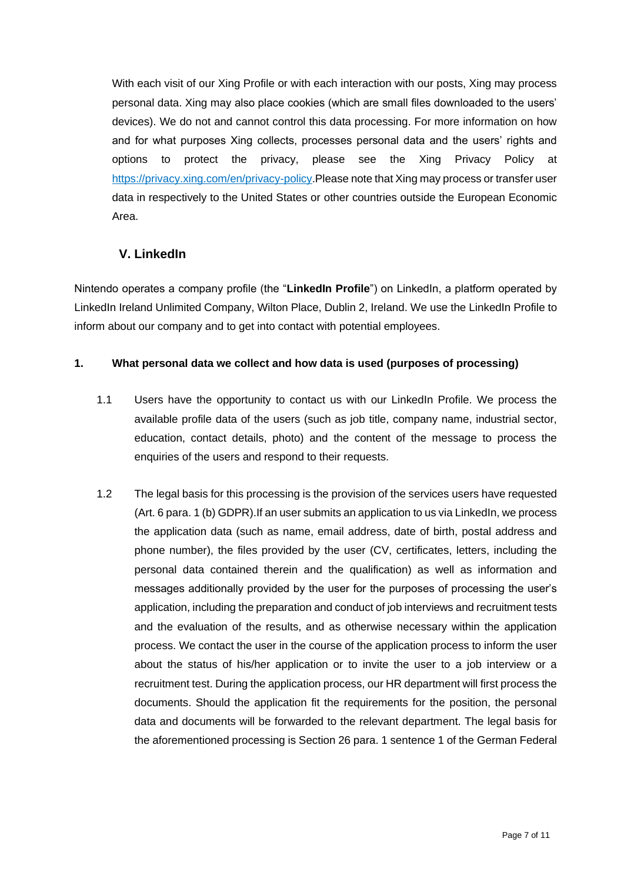With each visit of our Xing Profile or with each interaction with our posts, Xing may process personal data. Xing may also place cookies (which are small files downloaded to the users' devices). We do not and cannot control this data processing. For more information on how and for what purposes Xing collects, processes personal data and the users' rights and options to protect the privacy, please see the Xing Privacy Policy at [https://privacy.xing.com/en/privacy-policy.](https://privacy.xing.com/en/privacy-policy)Please note that Xing may process or transfer user data in respectively to the United States or other countries outside the European Economic Area.

# **V. LinkedIn**

Nintendo operates a company profile (the "**LinkedIn Profile**") on LinkedIn, a platform operated by LinkedIn Ireland Unlimited Company, Wilton Place, Dublin 2, Ireland. We use the LinkedIn Profile to inform about our company and to get into contact with potential employees.

### **1. What personal data we collect and how data is used (purposes of processing)**

- 1.1 Users have the opportunity to contact us with our LinkedIn Profile. We process the available profile data of the users (such as job title, company name, industrial sector, education, contact details, photo) and the content of the message to process the enquiries of the users and respond to their requests.
- 1.2 The legal basis for this processing is the provision of the services users have requested (Art. 6 para. 1 (b) GDPR).If an user submits an application to us via LinkedIn, we process the application data (such as name, email address, date of birth, postal address and phone number), the files provided by the user (CV, certificates, letters, including the personal data contained therein and the qualification) as well as information and messages additionally provided by the user for the purposes of processing the user's application, including the preparation and conduct of job interviews and recruitment tests and the evaluation of the results, and as otherwise necessary within the application process. We contact the user in the course of the application process to inform the user about the status of his/her application or to invite the user to a job interview or a recruitment test. During the application process, our HR department will first process the documents. Should the application fit the requirements for the position, the personal data and documents will be forwarded to the relevant department. The legal basis for the aforementioned processing is Section 26 para. 1 sentence 1 of the German Federal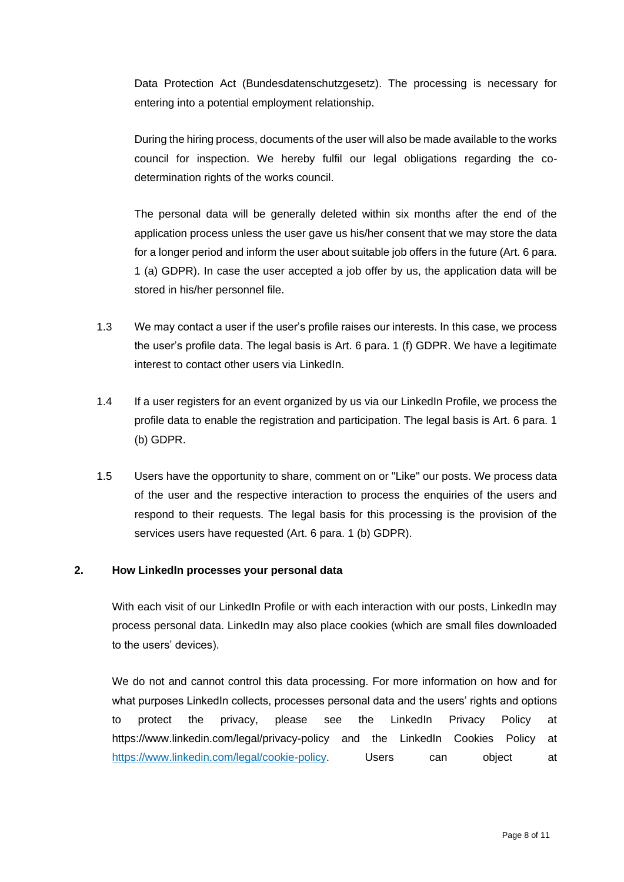Data Protection Act (Bundesdatenschutzgesetz). The processing is necessary for entering into a potential employment relationship.

During the hiring process, documents of the user will also be made available to the works council for inspection. We hereby fulfil our legal obligations regarding the codetermination rights of the works council.

The personal data will be generally deleted within six months after the end of the application process unless the user gave us his/her consent that we may store the data for a longer period and inform the user about suitable job offers in the future (Art. 6 para. 1 (a) GDPR). In case the user accepted a job offer by us, the application data will be stored in his/her personnel file.

- 1.3 We may contact a user if the user's profile raises our interests. In this case, we process the user's profile data. The legal basis is Art. 6 para. 1 (f) GDPR. We have a legitimate interest to contact other users via LinkedIn.
- 1.4 If a user registers for an event organized by us via our LinkedIn Profile, we process the profile data to enable the registration and participation. The legal basis is Art. 6 para. 1 (b) GDPR.
- 1.5 Users have the opportunity to share, comment on or "Like" our posts. We process data of the user and the respective interaction to process the enquiries of the users and respond to their requests. The legal basis for this processing is the provision of the services users have requested (Art. 6 para. 1 (b) GDPR).

#### **2. How LinkedIn processes your personal data**

With each visit of our LinkedIn Profile or with each interaction with our posts, LinkedIn may process personal data. LinkedIn may also place cookies (which are small files downloaded to the users' devices).

We do not and cannot control this data processing. For more information on how and for what purposes LinkedIn collects, processes personal data and the users' rights and options to protect the privacy, please see the LinkedIn Privacy Policy at https://www.linkedin.com/legal/privacy-policy and the LinkedIn Cookies Policy at [https://www.linkedin.com/legal/cookie-policy.](https://www.linkedin.com/legal/cookie-policy) Users can object at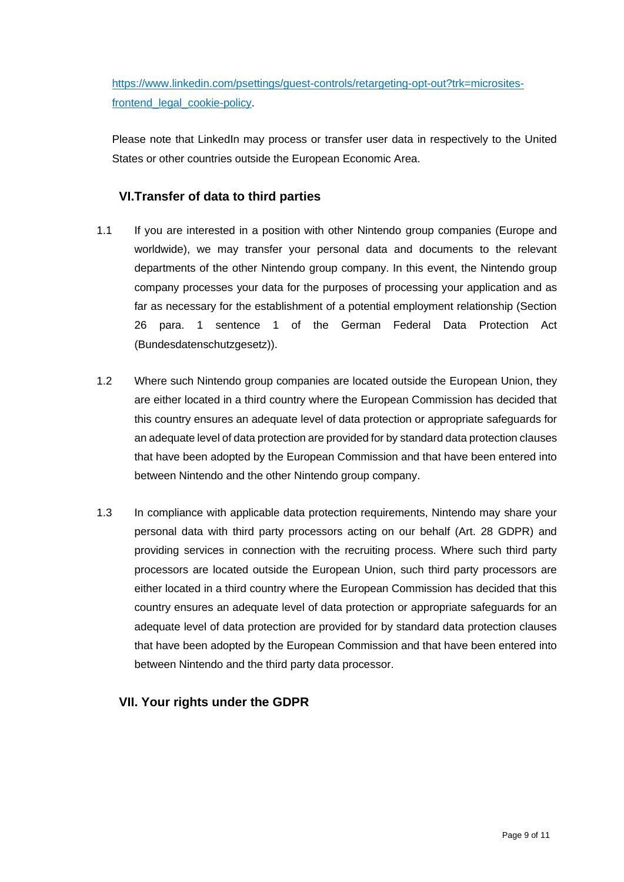[https://www.linkedin.com/psettings/guest-controls/retargeting-opt-out?trk=microsites](https://www.linkedin.com/psettings/guest-controls/retargeting-opt-out?trk=microsites-frontend_legal_cookie-policy)[frontend\\_legal\\_cookie-policy.](https://www.linkedin.com/psettings/guest-controls/retargeting-opt-out?trk=microsites-frontend_legal_cookie-policy)

Please note that LinkedIn may process or transfer user data in respectively to the United States or other countries outside the European Economic Area.

# **VI.Transfer of data to third parties**

- 1.1 If you are interested in a position with other Nintendo group companies (Europe and worldwide), we may transfer your personal data and documents to the relevant departments of the other Nintendo group company. In this event, the Nintendo group company processes your data for the purposes of processing your application and as far as necessary for the establishment of a potential employment relationship (Section 26 para. 1 sentence 1 of the German Federal Data Protection Act (Bundesdatenschutzgesetz)).
- 1.2 Where such Nintendo group companies are located outside the European Union, they are either located in a third country where the European Commission has decided that this country ensures an adequate level of data protection or appropriate safeguards for an adequate level of data protection are provided for by standard data protection clauses that have been adopted by the European Commission and that have been entered into between Nintendo and the other Nintendo group company.
- 1.3 In compliance with applicable data protection requirements, Nintendo may share your personal data with third party processors acting on our behalf (Art. 28 GDPR) and providing services in connection with the recruiting process. Where such third party processors are located outside the European Union, such third party processors are either located in a third country where the European Commission has decided that this country ensures an adequate level of data protection or appropriate safeguards for an adequate level of data protection are provided for by standard data protection clauses that have been adopted by the European Commission and that have been entered into between Nintendo and the third party data processor.

## **VII. Your rights under the GDPR**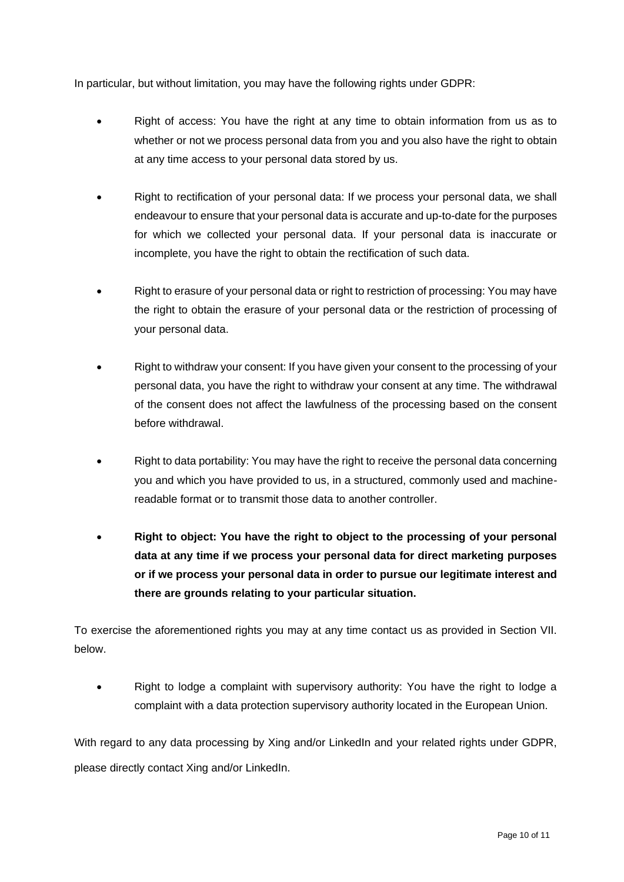In particular, but without limitation, you may have the following rights under GDPR:

- Right of access: You have the right at any time to obtain information from us as to whether or not we process personal data from you and you also have the right to obtain at any time access to your personal data stored by us.
- Right to rectification of your personal data: If we process your personal data, we shall endeavour to ensure that your personal data is accurate and up-to-date for the purposes for which we collected your personal data. If your personal data is inaccurate or incomplete, you have the right to obtain the rectification of such data.
- Right to erasure of your personal data or right to restriction of processing: You may have the right to obtain the erasure of your personal data or the restriction of processing of your personal data.
- Right to withdraw your consent: If you have given your consent to the processing of your personal data, you have the right to withdraw your consent at any time. The withdrawal of the consent does not affect the lawfulness of the processing based on the consent before withdrawal.
- Right to data portability: You may have the right to receive the personal data concerning you and which you have provided to us, in a structured, commonly used and machinereadable format or to transmit those data to another controller.
- **Right to object: You have the right to object to the processing of your personal data at any time if we process your personal data for direct marketing purposes or if we process your personal data in order to pursue our legitimate interest and there are grounds relating to your particular situation.**

To exercise the aforementioned rights you may at any time contact us as provided in Section VII. below.

• Right to lodge a complaint with supervisory authority: You have the right to lodge a complaint with a data protection supervisory authority located in the European Union.

With regard to any data processing by Xing and/or LinkedIn and your related rights under GDPR, please directly contact Xing and/or LinkedIn.